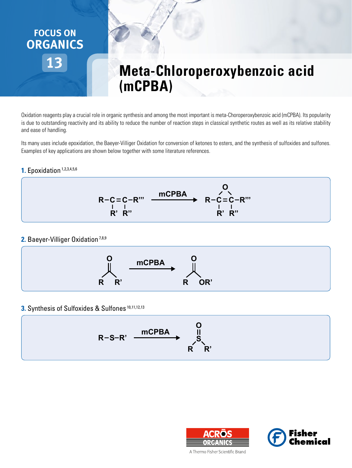

# **Meta-Chloroperoxybenzoic acid (mCPBA)**

Oxidation reagents play a crucial role in organic synthesis and among the most important is meta-Choroperoxybenzoic acid (mCPBA). Its popularity is due to outstanding reactivity and its ability to reduce the number of reaction steps in classical synthetic routes as well as its relative stability and ease of handling.

Its many uses include epoxidation, the Baeyer-Villiger Oxidation for conversion of ketones to esters, and the synthesis of sulfoxides and sulfones. Examples of key applications are shown below together with some literature references.

#### **1.** Epoxidation<sup>1,2,3,4,5,6</sup>



#### **2.** Baeyer-Villiger Oxidation<sup>7,8,9</sup>



#### **3.** Synthesis of Sulfoxides & Sulfones 10,11,12,13

$$
R-S-R' \xrightarrow{\text{mCPBA}} \begin{matrix} & 0 \\ 0 \\ S \\ R & R' \end{matrix}
$$





A Thermo Fisher Scientific Brand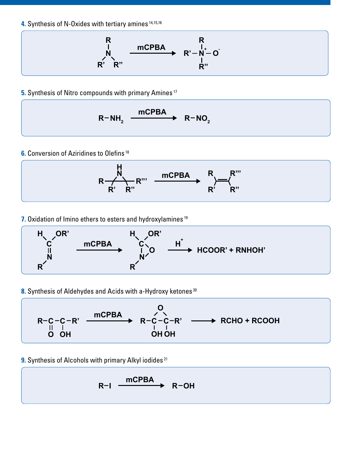**4.** Synthesis of N-Oxides with tertiary amines 14,15,16



**5.** Synthesis of Nitro compounds with primary Amines<sup>17</sup>

$$
R-NH_2 \xrightarrow{mCPBA} R-NO_2
$$

**6.** Conversion of Aziridines to Olefins<sup>18</sup>



**7.** Oxidation of Imino ethers to esters and hydroxylamines<sup>19</sup>



8. Synthesis of Aldehydes and Acids with a-Hydroxy ketones<sup>20</sup>



**9.** Synthesis of Alcohols with primary Alkyl iodides<sup>21</sup>

$$
R-I \xrightarrow{mCPBA} R-OH
$$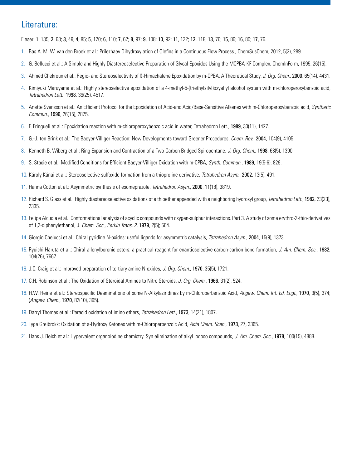### Literature:

Fieser: 1, 135; 2, 68; 3, 49; 4, 85; 5, 120; 6, 110; 7, 62; 8, 97; 9, 108; 10, 92; 11, 122; 12, 118; 13, 76; 15, 86; 16, 80; 17, 76.

- 1. Bas A. M. W. van den Broek et al.: Prilezhaev Dihydroxylation of Olefins in a Continuous Flow Process., ChemSusChem, 2012, 5(2), 289.
- 2. G. Bellucci et al.: A Simple and Highly Diastereoselective Preparation of Glycal Epoxides Using the MCPBA-KF Complex, ChemInForm, 1995, 26(15),
- 3. Ahmed Chekroun et al.: Regio- and Stereoselectivity of ß-Himachalene Epoxidation by m-CPBA. A Theoretical Study, *J. Org. Chem.*, 2000, 65(14), 4431.
- 4. Kimiyuki Maruyama et al.: Highly stereoselective epoxidation of a 4-methyl-5-(triethylsilyl)oxyallyl alcohol system with m-chloroperoxybenzoic acid, *Tetrahedron Lett.*, 1998, 39(25), 4517.
- 5. Anette Svensson et al.: An Efficient Protocol for the Epoxidation of Acid-and Acid/Base-Sensitive Alkenes with m-Chloroperoxybenzoic acid, *Synthetic Commun.*, 1996, 26(15), 2875.
- 6. F. Fringueli et al.: Epoxidation reaction with m-chloroperoxybenzoic acid in water, Tetrahedron Lett., 1989, 30(11), 1427.
- 7. G.-J. ten Brink et al.: The Baeyer-Villiger Reaction: New Developments toward Greener Procedures, *Chem. Rev.*, 2004, 104(9), 4105.
- 8. Kenneth B. Wiberg et al.: Ring Expansion and Contraction of a Two-Carbon Bridged Spiropentane, *J. Org. Chem.*, 1998, 63(5), 1390.
- 9. S. Stacie et al.: Modified Conditions for Efficient Baeyer-Villiger Oxidation with m-CPBA, *Synth. Commun.*, 1989, 19(5-6), 829.
- 10. Károly Kánai et al.: Stereoselective sulfoxide formation from a thioproline derivative, *Tetrahedron Asym.*, 2002, 13(5), 491.
- 11. Hanna Cotton et al.: Asymmetric synthesis of esomeprazole, *Tetrahedron Asym.*, 2000, 11(18), 3819.
- 12. Richard S. Glass et al.: Highly diastereoselective oxidations of a thioether appended with a neighboring hydroxyl group, *Tetrahedron Lett.*, 1982, 23(23), 2335.
- 13. Felipe Alcudia et al.: Conformational analysis of acyclic compounds with oxygen-sulphur interactions. Part 3. A study of some erythro-2-thio-derivatives of 1,2-diphenylethanol, J. *Chem. Soc., Perkin Trans. 2*, 1979, 2(5); 564.
- 14. Giorgio Chelucci et al.: Chiral pyridine N-oxides: useful ligands for asymmetric catalysis, *Tetrahedron Asym.*, 2004, 15(9), 1373.
- 15. Ryuichi Haruta et al.: Chiral allenylboronic esters: a practical reagent for enantioselective carbon-carbon bond formation, *J. Am. Chem. Soc.*, 1982, 104(26), 7667.
- 16. J.C. Craig et al.: Improved preparation of tertiary amine N-oxides, *J. Org. Chem.*, 1970, 35(5), 1721.
- 17. C.H. Robinson et al.: The Oxidation of Steroidal Amines to Nitro Steroids, *J. Org. Chem.*, 1966, 31(2), 524.
- 18. H.W. Heine et al.: Stereospecific Deaminations of some N-Alkylaziridines by m-Chloroperbenzoic Acid, *Angew. Chem. Int. Ed. Engl.*, 1970, 9(5), 374; (*Angew. Chem.*, 1970, 82(10), 395).
- 19. Darryl Thomas et al.: Peracid oxidation of imino ethers, *Tetrahedron Lett.*, 1973, 14(21), 1807.
- 20. Tyge Greibrokk: Oxidation of a-Hydroxy Ketones with m-Chloroperbenzoic Acid, *Acta Chem. Scan.*, 1973, 27, 3365.
- 21. Hans J. Reich et al.: Hypervalent organoiodine chemistry. Syn elimination of alkyl iodoso compounds, *J. Am. Chem. Soc.*, 1978, 100(15), 4888.